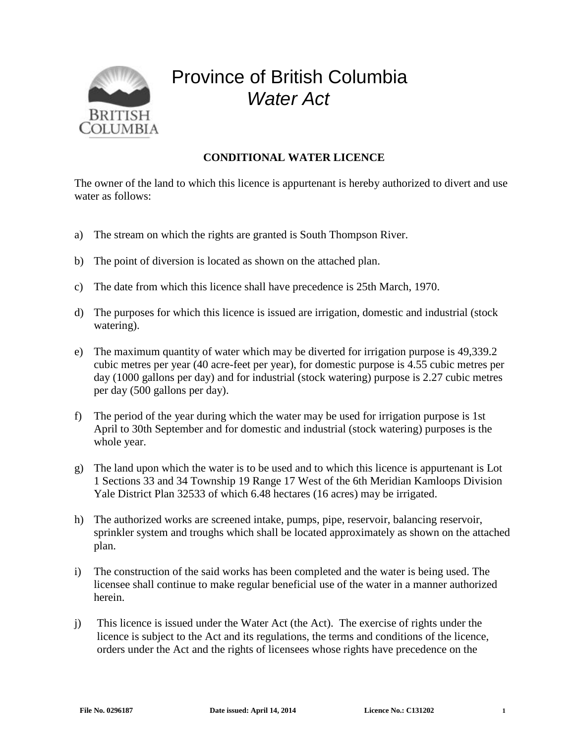

## Province of British Columbia *Water Act*

## **CONDITIONAL WATER LICENCE**

The owner of the land to which this licence is appurtenant is hereby authorized to divert and use water as follows:

- a) The stream on which the rights are granted is South Thompson River.
- b) The point of diversion is located as shown on the attached plan.
- c) The date from which this licence shall have precedence is 25th March, 1970.
- d) The purposes for which this licence is issued are irrigation, domestic and industrial (stock watering).
- e) The maximum quantity of water which may be diverted for irrigation purpose is 49,339.2 cubic metres per year (40 acre-feet per year), for domestic purpose is 4.55 cubic metres per day (1000 gallons per day) and for industrial (stock watering) purpose is 2.27 cubic metres per day (500 gallons per day).
- f) The period of the year during which the water may be used for irrigation purpose is 1st April to 30th September and for domestic and industrial (stock watering) purposes is the whole year.
- g) The land upon which the water is to be used and to which this licence is appurtenant is Lot 1 Sections 33 and 34 Township 19 Range 17 West of the 6th Meridian Kamloops Division Yale District Plan 32533 of which 6.48 hectares (16 acres) may be irrigated.
- h) The authorized works are screened intake, pumps, pipe, reservoir, balancing reservoir, sprinkler system and troughs which shall be located approximately as shown on the attached plan.
- i) The construction of the said works has been completed and the water is being used. The licensee shall continue to make regular beneficial use of the water in a manner authorized herein.
- j) This licence is issued under the Water Act (the Act). The exercise of rights under the licence is subject to the Act and its regulations, the terms and conditions of the licence, orders under the Act and the rights of licensees whose rights have precedence on the